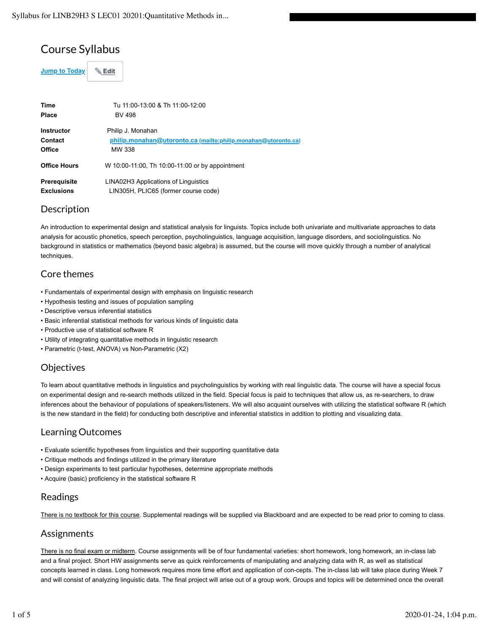# Course Syllabus

| <b>Jump to Today</b> | <b>Edit</b>                                                    |
|----------------------|----------------------------------------------------------------|
| Time                 | Tu 11:00-13:00 & Th 11:00-12:00                                |
| <b>Place</b>         | BV 498                                                         |
| Instructor           | Philip J. Monahan                                              |
| Contact              | philip.monahan@utoronto.ca (mailto:philip.monahan@utoronto.ca) |
| Office               | MW 338                                                         |
| <b>Office Hours</b>  | W 10:00-11:00, Th 10:00-11:00 or by appointment                |
| <b>Prerequisite</b>  | LINA02H3 Applications of Linguistics                           |
| <b>Exclusions</b>    | LIN305H, PLIC65 (former course code)                           |

#### **Description**

An introduction to experimental design and statistical analysis for linguists. Topics include both univariate and multivariate approaches to data analysis for acoustic phonetics, speech perception, psycholinguistics, language acquisition, language disorders, and sociolinguistics. No background in statistics or mathematics (beyond basic algebra) is assumed, but the course will move quickly through a number of analytical techniques.

# Core themes

- Fundamentals of experimental design with emphasis on linguistic research
- Hypothesis testing and issues of population sampling
- Descriptive versus inferential statistics
- Basic inferential statistical methods for various kinds of linguistic data
- Productive use of statistical software R
- Utility of integrating quantitative methods in linguistic research
- Parametric (t-test, ANOVA) vs Non-Parametric (X2)

# **Objectives**

To learn about quantitative methods in linguistics and psycholinguistics by working with real linguistic data. The course will have a special focus on experimental design and re-search methods utilized in the field. Special focus is paid to techniques that allow us, as re-searchers, to draw inferences about the behaviour of populations of speakers/listeners. We will also acquaint ourselves with utilizing the statistical software R (which is the new standard in the field) for conducting both descriptive and inferential statistics in addition to plotting and visualizing data.

### Learning Outcomes

- Evaluate scientific hypotheses from linguistics and their supporting quantitative data
- Critique methods and findings utilized in the primary literature
- Design experiments to test particular hypotheses, determine appropriate methods
- Acquire (basic) proficiency in the statistical software R

#### Readings

There is no textbook for this course. Supplemental readings will be supplied via Blackboard and are expected to be read prior to coming to class.

### Assignments

There is no final exam or midterm. Course assignments will be of four fundamental varieties: short homework, long homework, an in-class lab and a final project. Short HW assignments serve as quick reinforcements of manipulating and analyzing data with R, as well as statistical concepts learned in class. Long homework requires more time effort and application of con-cepts. The in-class lab will take place during Week 7 and will consist of analyzing linguistic data. The final project will arise out of a group work. Groups and topics will be determined once the overall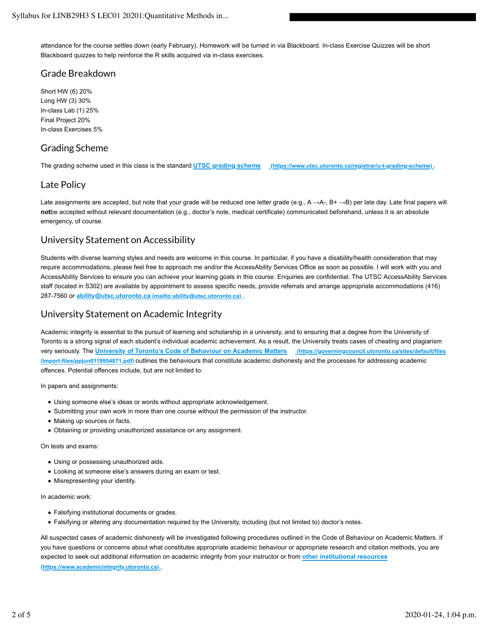attendance for the course settles down (early February). Homework will be turned in via Blackboard. In-class Exercise Quizzes will be short Blackboard quizzes to help reinforce the R skills acquired via in-class exercises.

## Grade Breakdown

Short HW (6) 20% Long HW (3) 30% In-class Lab (1) 25% Final Project 20% In-class Exercises 5%

## Grading Scheme

The grading scheme used in this class is the standard **UTSC** grading scheme (https://www.utsc.utoronto.ca/registrar/u-t-grading-scheme).

#### Late Policy

Late assignments are accepted, but note that your grade will be reduced one letter grade (e.g.,  $A \rightarrow A$ -,  $B + \rightarrow B$ ) per late day. Late final papers will **not**be accepted without relevant documentation (e.g., doctor's note, medical certificate) communicated beforehand, unless it is an absolute emergency, of course.

### University Statement on Accessibility

Students with diverse learning styles and needs are welcome in this course. In particular, if you have a disability/health consideration that may require accommodations, please feel free to approach me and/or the AccessAbility Services Office as soon as possible. I will work with you and AccessAbility Services to ensure you can achieve your learning goals in this course. Enquiries are confidential. The UTSC AccessAbility Services staff (located in S302) are available by appointment to assess specific needs, provide referrals and arrange appropriate accommodations (416) 287-7560 or **ability@utsc.utoronto.ca (mailto:ability@utsc.utoronto.ca)** .

#### University Statement on Academic Integrity

Academic integrity is essential to the pursuit of learning and scholarship in a university, and to ensuring that a degree from the University of Toronto is a strong signal of each student's individual academic achievement. As a result, the University treats cases of cheating and plagiarism very seriously. The **University of Toronto's Code of Behaviour on Academic Matters (https://governingcouncil.utoronto.ca/sites/default/files /import-files/ppjun0119954871.pdf)** outlines the behaviours that constitute academic dishonesty and the processes for addressing academic offences. Potential offences include, but are not limited to:

In papers and assignments:

- Using someone else's ideas or words without appropriate acknowledgement.
- Submitting your own work in more than one course without the permission of the instructor.
- Making up sources or facts.
- Obtaining or providing unauthorized assistance on any assignment.

#### On tests and exams:

- Using or possessing unauthorized aids.
- Looking at someone else's answers during an exam or test.
- Misrepresenting your identity.

#### In academic work:

- Falsifying institutional documents or grades.
- Falsifying or altering any documentation required by the University, including (but not limited to) doctor's notes.

All suspected cases of academic dishonesty will be investigated following procedures outlined in the Code of Behaviour on Academic Matters. If you have questions or concerns about what constitutes appropriate academic behaviour or appropriate research and citation methods, you are expected to seek out additional information on academic integrity from your instructor or from **other institutional resources (https://www.academicintegrity.utoronto.ca)** .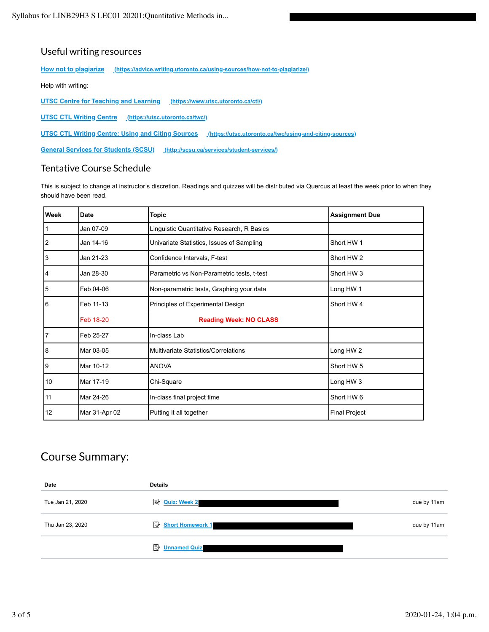#### Useful writing resources

**How not to plagiarize (https://advice.writing.utoronto.ca/using-sources/how-not-to-plagiarize/)**

Help with writing:

**UTSC Centre for Teaching and Learning (https://www.utsc.utoronto.ca/ctl/)**

**UTSC CTL Writing Centre (https://utsc.utoronto.ca/twc/)**

**UTSC CTL Writing Centre: Using and Citing Sources (https://utsc.utoronto.ca/twc/using-and-citing-sources)**

**General Services for Students (SCSU) (http://scsu.ca/services/student-services/)**

## Tentative Course Schedule

This is subject to change at instructor's discretion. Readings and quizzes will be distr buted via Quercus at least the week prior to when they should have been read.

| <b>Week</b>    | <b>Date</b>   | <b>Topic</b>                               | <b>Assignment Due</b> |
|----------------|---------------|--------------------------------------------|-----------------------|
| <b>11</b>      | Jan 07-09     | Linguistic Quantitative Research, R Basics |                       |
| $\overline{c}$ | Jan 14-16     | Univariate Statistics, Issues of Sampling  | Short HW 1            |
| 3              | Jan 21-23     | Confidence Intervals, F-test               | Short HW 2            |
| $\overline{4}$ | Jan 28-30     | Parametric vs Non-Parametric tests, t-test | Short HW <sub>3</sub> |
| $\overline{5}$ | Feb 04-06     | Non-parametric tests, Graphing your data   | Long HW 1             |
| 6              | Feb 11-13     | Principles of Experimental Design          | Short HW 4            |
|                | Feb 18-20     | <b>Reading Week: NO CLASS</b>              |                       |
| $\overline{7}$ | Feb 25-27     | In-class Lab                               |                       |
| 8              | Mar 03-05     | Multivariate Statistics/Correlations       | Long HW 2             |
| 9              | Mar 10-12     | <b>ANOVA</b>                               | Short HW <sub>5</sub> |
| 10             | Mar 17-19     | Chi-Square                                 | Long HW 3             |
| 11             | Mar 24-26     | In-class final project time                | Short HW 6            |
| 12             | Mar 31-Apr 02 | Putting it all together                    | <b>Final Project</b>  |

# Course Summary:

| Date             | <b>Details</b>            |             |
|------------------|---------------------------|-------------|
| Tue Jan 21, 2020 | <b>B</b> Quiz: Week 2     | due by 11am |
| Thu Jan 23, 2020 | <b>B</b> Short Homework 1 | due by 11am |
|                  | <b>B</b> Unnamed Quiz     |             |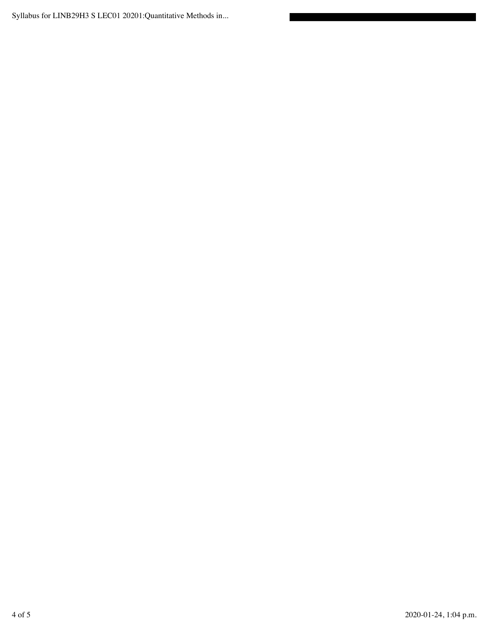Syllabus for LINB29H3 S LEC01 20201:Quantitative Methods in...